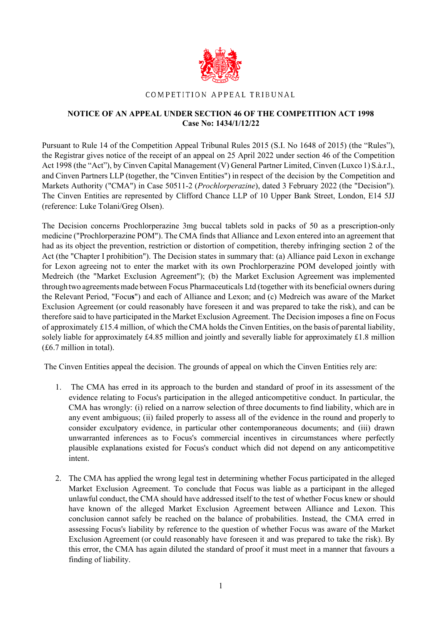

## COMPETITION APPEAL TRIBUNAL

## **NOTICE OF AN APPEAL UNDER SECTION 46 OF THE COMPETITION ACT 1998 Case No: 1434/1/12/22**

Pursuant to Rule 14 of the Competition Appeal Tribunal Rules 2015 (S.I. No 1648 of 2015) (the "Rules"), the Registrar gives notice of the receipt of an appeal on 25 April 2022 under section 46 of the Competition Act 1998 (the "Act"), by Cinven Capital Management (V) General Partner Limited, Cinven (Luxco 1) S.à.r.l., and Cinven Partners LLP (together, the "Cinven Entities") in respect of the decision by the Competition and Markets Authority ("CMA") in Case 50511-2 (*Prochlorperazine*), dated 3 February 2022 (the "Decision"). The Cinven Entities are represented by Clifford Chance LLP of 10 Upper Bank Street, London, E14 5JJ (reference: Luke Tolani/Greg Olsen).

The Decision concerns Prochlorperazine 3mg buccal tablets sold in packs of 50 as a prescription-only medicine ("Prochlorperazine POM"). The CMA finds that Alliance and Lexon entered into an agreement that had as its object the prevention, restriction or distortion of competition, thereby infringing section 2 of the Act (the "Chapter I prohibition"). The Decision states in summary that: (a) Alliance paid Lexon in exchange for Lexon agreeing not to enter the market with its own Prochlorperazine POM developed jointly with Medreich (the "Market Exclusion Agreement"); (b) the Market Exclusion Agreement was implemented through two agreementsmade between Focus Pharmaceuticals Ltd (together with its beneficial owners during the Relevant Period, "Focu**s**") and each of Alliance and Lexon; and (c) Medreich was aware of the Market Exclusion Agreement (or could reasonably have foreseen it and was prepared to take the risk), and can be therefore said to have participated in the Market Exclusion Agreement. The Decision imposes a fine on Focus of approximately  $£15.4$  million, of which the CMA holds the Cinven Entities, on the basis of parental liability, solely liable for approximately  $\text{\pounds}4.85$  million and jointly and severally liable for approximately  $\text{\pounds}1.8$  million (£6.7 million in total).

The Cinven Entities appeal the decision. The grounds of appeal on which the Cinven Entities rely are:

- 1. The CMA has erred in its approach to the burden and standard of proof in its assessment of the evidence relating to Focus's participation in the alleged anticompetitive conduct. In particular, the CMA has wrongly: (i) relied on a narrow selection of three documents to find liability, which are in any event ambiguous; (ii) failed properly to assess all of the evidence in the round and properly to consider exculpatory evidence, in particular other contemporaneous documents; and (iii) drawn unwarranted inferences as to Focus's commercial incentives in circumstances where perfectly plausible explanations existed for Focus's conduct which did not depend on any anticompetitive intent.
- 2. The CMA has applied the wrong legal test in determining whether Focus participated in the alleged Market Exclusion Agreement. To conclude that Focus was liable as a participant in the alleged unlawful conduct, the CMA should have addressed itself to the test of whether Focus knew or should have known of the alleged Market Exclusion Agreement between Alliance and Lexon. This conclusion cannot safely be reached on the balance of probabilities. Instead, the CMA erred in assessing Focus's liability by reference to the question of whether Focus was aware of the Market Exclusion Agreement (or could reasonably have foreseen it and was prepared to take the risk). By this error, the CMA has again diluted the standard of proof it must meet in a manner that favours a finding of liability.